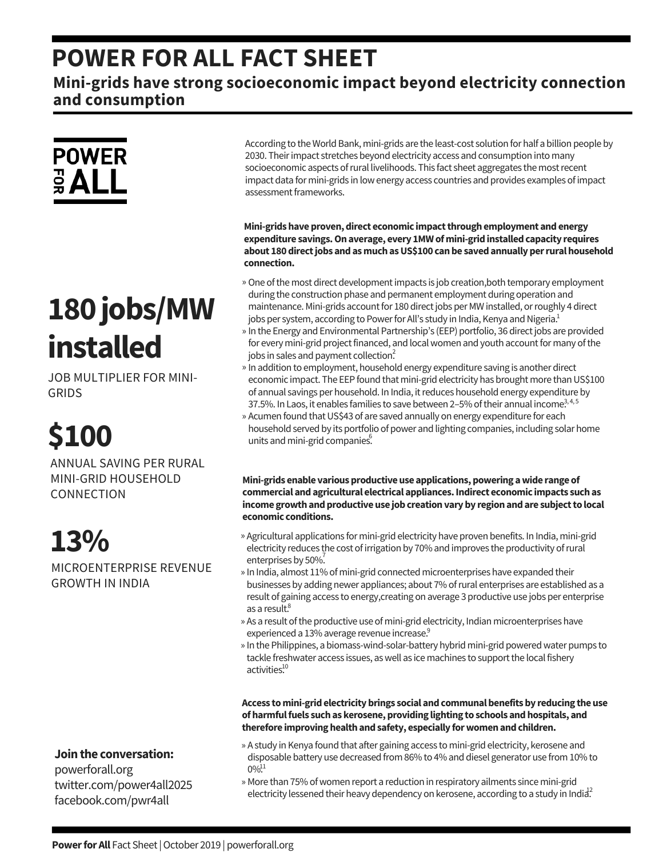### **POWER FOR ALL FACT SHEET**

**Mini-grids have strong socioeconomic impact beyond electricity connection and consumption**



# **180jobs/MW installed**

JOB MULTIPLIER FOR MINI-GRIDS

**\$100**

ANNUAL SAVING PER RURAL MINI-GRID HOUSEHOLD CONNECTION

**13%** MICROENTERPRISE REVENUE GROWTH IN INDIA

**Jointhe conversation:**

powerforall.org twitter.com/power4all2025 facebook.com/pwr4all

According to the World Bank, mini-grids are the least-cost solution for half a billion people by 2030. Their impact stretches beyond electricity access and consumption into many socioeconomic aspects of rural livelihoods. This fact sheet aggregates the most recent impact data for mini-grids in lowenergy access countries and provides examples ofimpact assessment frameworks.

**Mini-gridshaveproven,direct economic impactthroughemployment andenergy expenditure savings.Onaverage, every 1MW ofmini-gridinstalledcapacity requires about 180directjobs andasmuchasUS\$100 canbe savedannuallyperruralhousehold connection.**

- » One of the most direct development impacts is job creation,both temporary employment during the construction phase and permanent employment during operation and maintenance. Mini-grids account for 180 direct jobs per MW installed, or roughly 4 direct jobs per system, according to Power for All's study in India, Kenya and Nigeria.<sup>1</sup>
- » In the Energy and Environmental Partnership's (EEP) portfolio, 36 direct jobs are provided for every mini-grid project financed, and local women and youth account for many of the jobs in sales and payment collection?
- » In addition to employment, household energy expenditure saving is another direct economic impact. The EEP found that mini-grid electricity has brought more than US\$100 of annual savings per household. In India, itreduces household energy expenditure by 37.5%. In Laos, it enables families to save between 2–5% of their annual income<sup>3,4,5</sup>
- » Acumen found that US\$43 of are saved annually on energy expenditure for each household served by its portfolio of power and lighting companies, including solar home units and mini-grid companies.

**Mini-grids enable variousproductiveuse applications,powering awide range of commercial andagricultural electrical appliances.Indirect economic impacts suchas income growthandproductiveuse jobcreationvaryby regionandare subjectto local economic conditions.**

- » Agricultural applications for mini-grid electricity have proven benefits. In India, mini-grid electricity reduces the cost of irrigation by 70% and improves the productivity of rural enterprises by 50%.
- » In India, almost 11% of mini-grid connected microenterprises have expanded their businesses by adding newer appliances; about 7% ofrural enterprises are established as a result of gaining access to energy,creating on average 3 productive use jobs per enterprise as a result. 8
- » As a result of the productive use of mini-grid electricity, Indian microenterprises have experienced a 13% average revenue increase.<sup>9</sup>
- » In the Philippines, a biomass-wind-solar-battery hybrid mini-grid powered water pumps to tackle freshwater access issues, as well as ice machines to support the local fishery activities.<sup>10</sup>

**Access tomini-gridelectricitybrings social andcommunalbenefitsby reducing theuse ofharmfulfuels suchas kerosene,providing lighting to schools andhospitals, and therefore improvinghealthandsafety, especially forwomenandchildren.**

- » A study in Kenya found that after gaining access to mini-grid electricity, kerosene and disposable battery use decreased from 86% to 4% and diesel generator use from 10% to  $0\%$ <sup>11</sup>
- » More than 75% of women report a reduction in respiratory ailments since mini-grid electricity lessened their heavy dependency on kerosene, according to a study in India<sup>2</sup>.